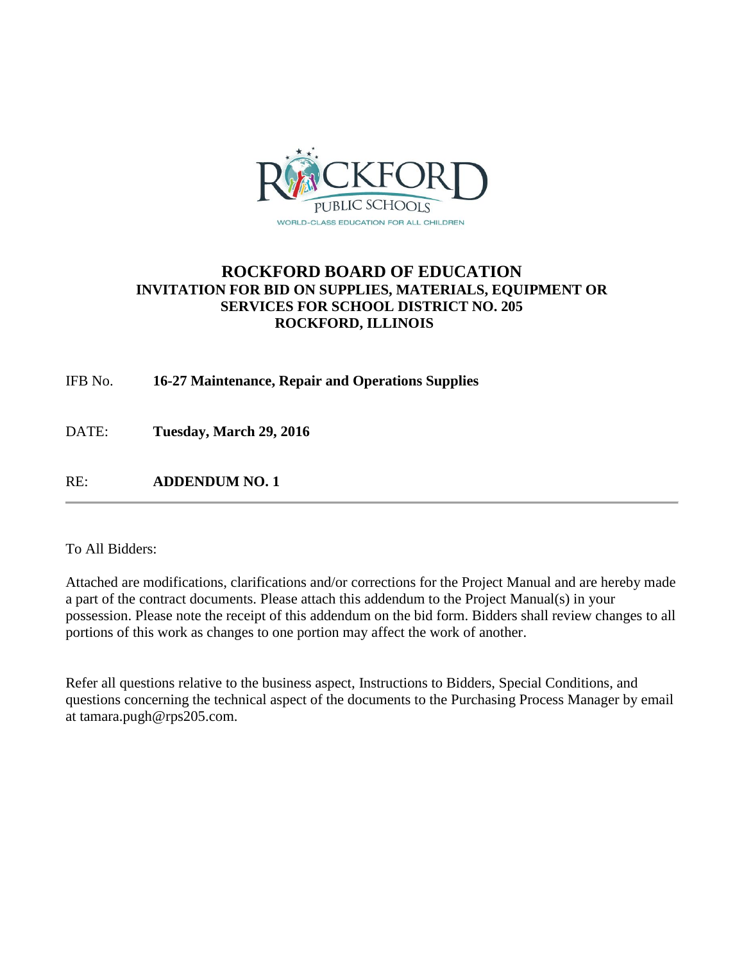

## **ROCKFORD BOARD OF EDUCATION INVITATION FOR BID ON SUPPLIES, MATERIALS, EQUIPMENT OR SERVICES FOR SCHOOL DISTRICT NO. 205 ROCKFORD, ILLINOIS**

IFB No. **16-27 Maintenance, Repair and Operations Supplies**

DATE: **Tuesday, March 29, 2016**

RE: **ADDENDUM NO. 1**

#### To All Bidders:

Attached are modifications, clarifications and/or corrections for the Project Manual and are hereby made a part of the contract documents. Please attach this addendum to the Project Manual(s) in your possession. Please note the receipt of this addendum on the bid form. Bidders shall review changes to all portions of this work as changes to one portion may affect the work of another.

Refer all questions relative to the business aspect, Instructions to Bidders, Special Conditions, and questions concerning the technical aspect of the documents to the Purchasing Process Manager by email at tamara.pugh@rps205.com.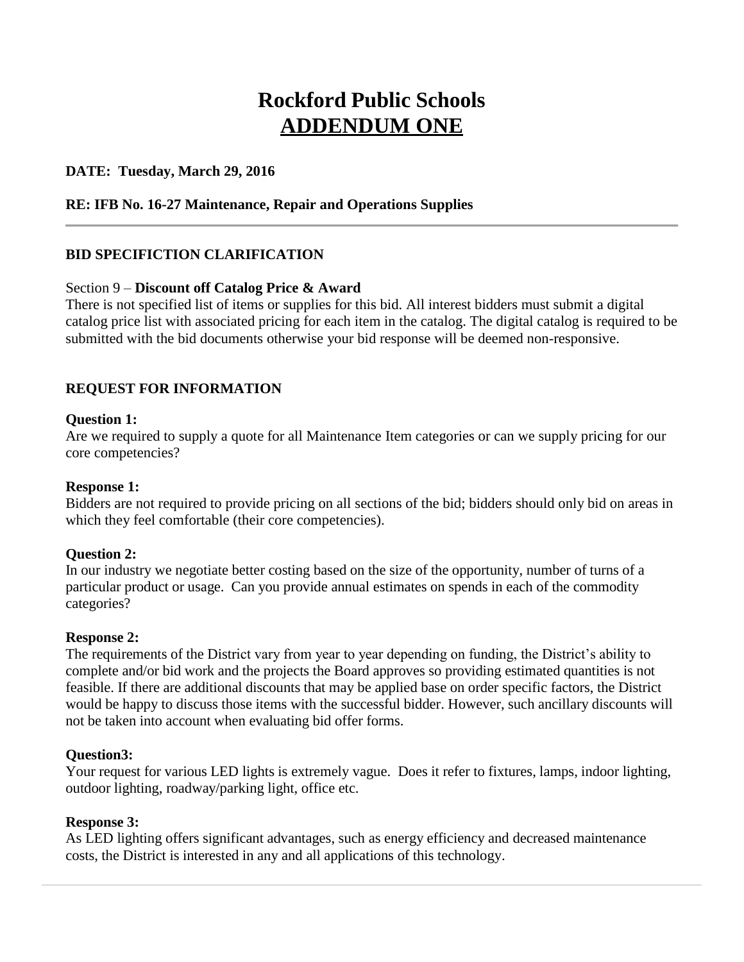# **Rockford Public Schools ADDENDUM ONE**

## **DATE: Tuesday, March 29, 2016**

## **RE: IFB No. 16-27 Maintenance, Repair and Operations Supplies**

## **BID SPECIFICTION CLARIFICATION**

#### Section 9 – **Discount off Catalog Price & Award**

There is not specified list of items or supplies for this bid. All interest bidders must submit a digital catalog price list with associated pricing for each item in the catalog. The digital catalog is required to be submitted with the bid documents otherwise your bid response will be deemed non-responsive.

## **REQUEST FOR INFORMATION**

#### **Question 1:**

Are we required to supply a quote for all Maintenance Item categories or can we supply pricing for our core competencies?

#### **Response 1:**

Bidders are not required to provide pricing on all sections of the bid; bidders should only bid on areas in which they feel comfortable (their core competencies).

#### **Question 2:**

In our industry we negotiate better costing based on the size of the opportunity, number of turns of a particular product or usage. Can you provide annual estimates on spends in each of the commodity categories?

#### **Response 2:**

The requirements of the District vary from year to year depending on funding, the District's ability to complete and/or bid work and the projects the Board approves so providing estimated quantities is not feasible. If there are additional discounts that may be applied base on order specific factors, the District would be happy to discuss those items with the successful bidder. However, such ancillary discounts will not be taken into account when evaluating bid offer forms.

#### **Question3:**

Your request for various LED lights is extremely vague. Does it refer to fixtures, lamps, indoor lighting, outdoor lighting, roadway/parking light, office etc.

#### **Response 3:**

As LED lighting offers significant advantages, such as energy efficiency and decreased maintenance costs, the District is interested in any and all applications of this technology.